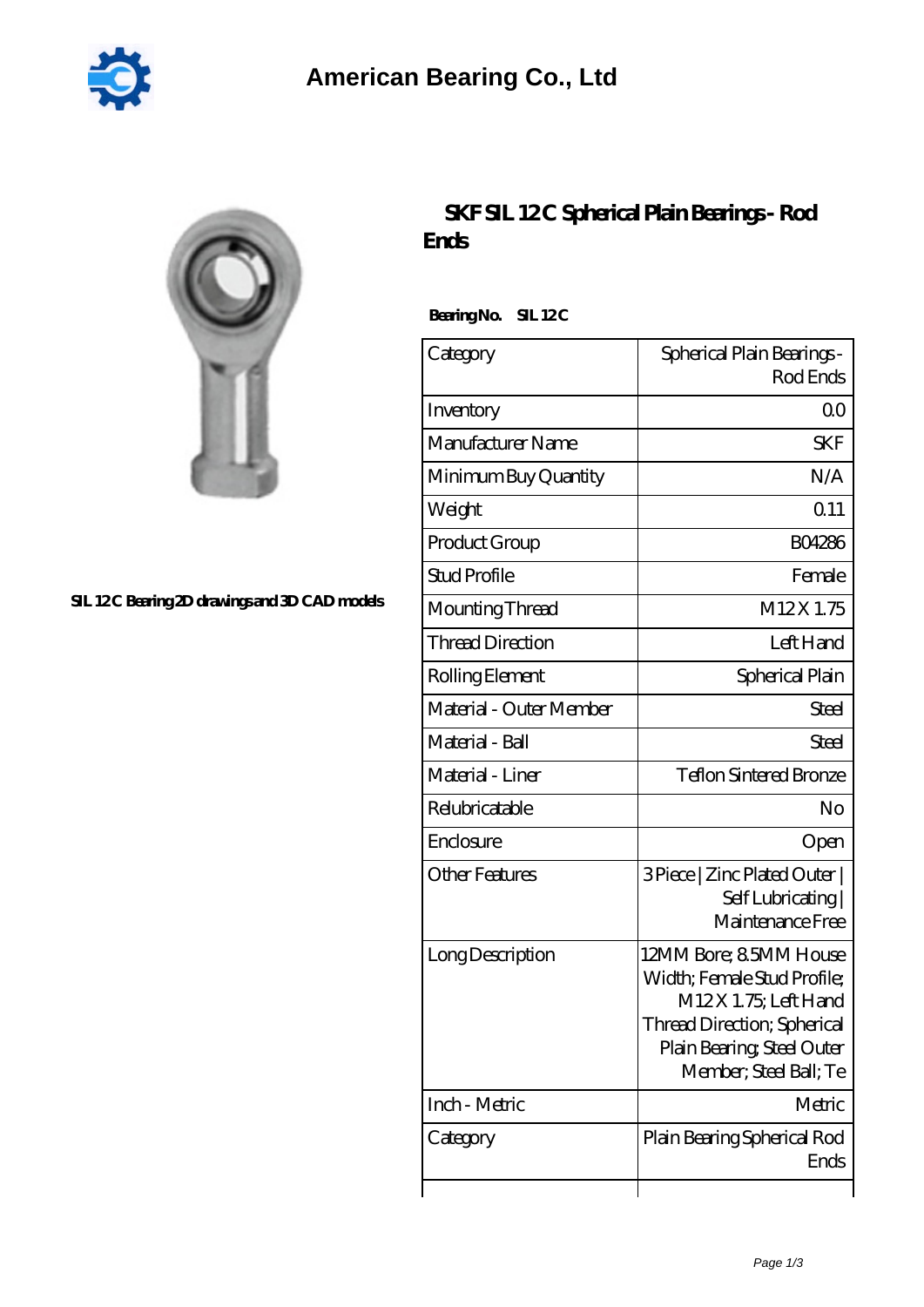

## **SIL 12C Bearing 2D drawings and 3D CAD models**

## **[SKF SIL 12 C Spherical Plain Bearings - Rod](https://2reflex.de/au-256100-skf-sil-12-c-spherical-plain-bearings-rod-ends.html) [Ends](https://2reflex.de/au-256100-skf-sil-12-c-spherical-plain-bearings-rod-ends.html)**

Bearing No. SIL 12C

| Category                | Spherical Plain Bearings -<br>Rod Ends                                                                                                                                     |  |  |
|-------------------------|----------------------------------------------------------------------------------------------------------------------------------------------------------------------------|--|--|
| Inventory               | Q0                                                                                                                                                                         |  |  |
| Manufacturer Name       | <b>SKF</b>                                                                                                                                                                 |  |  |
| Minimum Buy Quantity    | N/A                                                                                                                                                                        |  |  |
| Weight                  | 0.11                                                                                                                                                                       |  |  |
| Product Group           | <b>BO4286</b>                                                                                                                                                              |  |  |
| <b>Stud Profile</b>     | Female                                                                                                                                                                     |  |  |
| Mounting Thread         | M12X1.75                                                                                                                                                                   |  |  |
| <b>Thread Direction</b> | Left Hand                                                                                                                                                                  |  |  |
| Rolling Element         | Spherical Plain                                                                                                                                                            |  |  |
| Material - Outer Member | Steel                                                                                                                                                                      |  |  |
| Material - Ball         | <b>Steel</b>                                                                                                                                                               |  |  |
| Material - Liner        | <b>Teflon Sintered Bronze</b>                                                                                                                                              |  |  |
| Relubricatable          | No                                                                                                                                                                         |  |  |
| Enclosure               | Open                                                                                                                                                                       |  |  |
| <b>Other Features</b>   | 3 Piece   Zinc Plated Outer  <br>Self Lubricating<br>Maintenance Free                                                                                                      |  |  |
| Long Description        | 12MM Bore; 85MM House<br>Width; Female Stud Profile;<br>M12X 1.75; Left Hand<br><b>Thread Direction; Spherical</b><br>Plain Bearing, Steel Outer<br>Member; Steel Ball; Te |  |  |
| Inch - Metric           | Metric                                                                                                                                                                     |  |  |
| Category                | Plain Bearing Spherical Rod<br>Ends                                                                                                                                        |  |  |
|                         |                                                                                                                                                                            |  |  |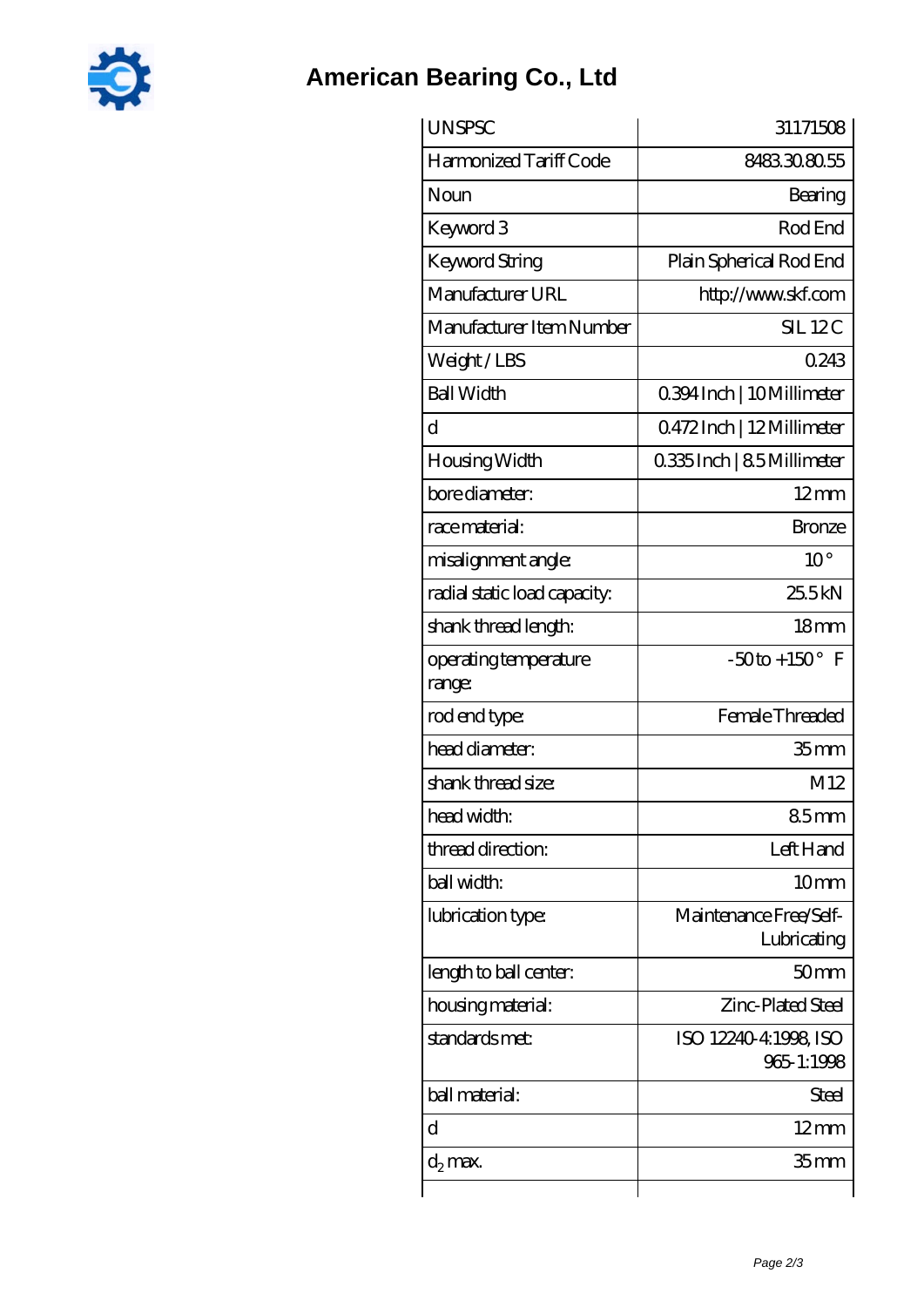

## **[American Bearing Co., Ltd](https://2reflex.de)**

| <b>UNSPSC</b>                   | 31171508                              |  |  |
|---------------------------------|---------------------------------------|--|--|
| Harmonized Tariff Code          | 8483308055                            |  |  |
| Noun                            | Bearing                               |  |  |
| Keyword 3                       | Rod End                               |  |  |
| Keyword String                  | Plain Spherical Rod End               |  |  |
| Manufacturer URL                | http://www.skf.com                    |  |  |
| Manufacturer Item Number        | <b>SIL 12C</b>                        |  |  |
| Weight/LBS                      | 0243                                  |  |  |
| <b>Ball Width</b>               | 0.394 Inch   10 Millimeter            |  |  |
| d                               | 0472Inch   12Millimeter               |  |  |
| Housing Width                   | 0.335Inch   8.5Millimeter             |  |  |
| bore diameter:                  | $12 \text{mm}$                        |  |  |
| race material:                  | <b>Bronze</b>                         |  |  |
| misalignment angle:             | $10^{\circ}$                          |  |  |
| radial static load capacity:    | 25.5kN                                |  |  |
| shank thread length:            | 18 <sub>mm</sub>                      |  |  |
| operating temperature<br>range: | $-50$ to + 150° F                     |  |  |
| rod end type:                   | Female Threaded                       |  |  |
| head diameter:                  | 35 <sub>mm</sub>                      |  |  |
| shank thread size:              | M12                                   |  |  |
| head width:                     | 85 <sub>mm</sub>                      |  |  |
| thread direction:               | Left Hand                             |  |  |
| ball width:                     | 10 <sub>mm</sub>                      |  |  |
| lubrication type:               | Maintenance Free/Self-<br>Lubricating |  |  |
| length to ball center:          | 50 <sub>mm</sub>                      |  |  |
| housing material:               | Zinc-Plated Steel                     |  |  |
| standards met:                  | ISO 12240-4:1998, ISO<br>965-1:1998   |  |  |
| ball material:                  | Steel                                 |  |  |
| d                               | $12 \text{mm}$                        |  |  |
| $d_2$ max.                      | 35 mm                                 |  |  |
|                                 |                                       |  |  |